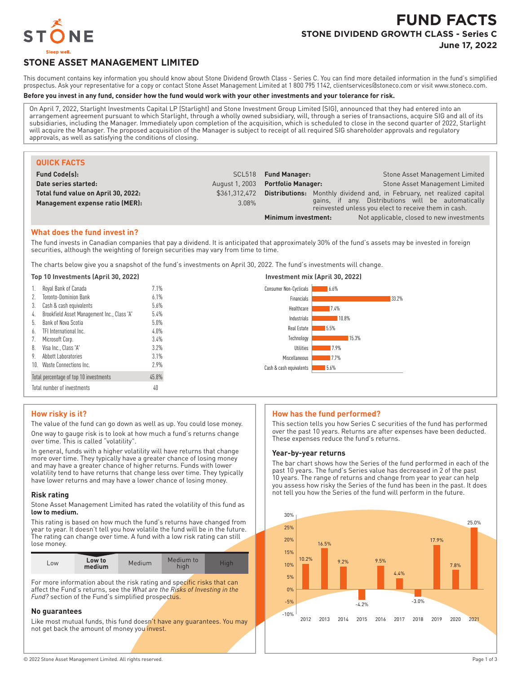

# **FUND FACTS STONE DIVIDEND GROWTH CLASS - Series C June 17, 2022**

# **STONE ASSET MANAGEMENT LIMITED**

This document contains key information you should know about Stone Dividend Growth Class - Series C. You can find more detailed information in the fund's simplified prospectus. Ask your representative for a copy or contact Stone Asset Management Limited at 1 800 795 1142, clientservices@stoneco.com or visit www.stoneco.com.

#### **Before you invest in any fund, consider how the fund would work with your other investments and your tolerance for risk.**

On April 7, 2022, Starlight Investments Capital LP (Starlight) and Stone Investment Group Limited (SIG), announced that they had entered into an arrangement agreement pursuant to which Starlight, through a wholly owned subsidiary, will, through a series of transactions, acquire SIG and all of its subsidiaries, including the Manager. Immediately upon completion of the acquisition, which is scheduled to close in the second quarter of 2022, Starlight will acquire the Manager. The proposed acquisition of the Manager is subject to receipt of all required SIG shareholder approvals and regulatory approvals, as well as satisfying the conditions of closing.

| <b>QUICK FACTS</b>                  |                |                           |                                                                                                            |
|-------------------------------------|----------------|---------------------------|------------------------------------------------------------------------------------------------------------|
| <b>Fund Code(s):</b>                |                | SCL518 Fund Manager:      | Stone Asset Management Limited                                                                             |
| Date series started:                | August 1, 2003 | <b>Portfolio Manager:</b> | <b>Stone Asset Management Limited</b>                                                                      |
| Total fund value on April 30, 2022: | \$361.312.472  | Distributions:            | Monthly dividend and, in February, net realized capital                                                    |
| Management expense ratio (MER):     | $3.08\%$       |                           | gains, if any. Distributions will be automatically<br>reinvested unless you elect to receive them in cash. |
|                                     |                | Minimum investment:       | Not applicable, closed to new investments                                                                  |

#### **What does the fund invest in?**

The fund invests in Canadian companies that pay a dividend. It is anticipated that approximately 30% of the fund's assets may be invested in foreign securities, although the weighting of foreign securities may vary from time to time.

The charts below give you a snapshot of the fund's investments on April 30, 2022. The fund's investments will change.

#### **Top 10 Investments (April 30, 2022) Investment mix (April 30, 2022)**

| Royal Bank of Canada<br>Ί.                        | 7.1%    | Consumer Non-Cyclicals<br>6.6%  |
|---------------------------------------------------|---------|---------------------------------|
| <b>Toronto-Dominion Bank</b>                      | 6.1%    | Financials<br>33.2%             |
| Cash & cash equivalents<br>3.                     | 5.6%    | Healthcare<br>7.4%              |
| Brookfield Asset Management Inc., Class 'A'<br>4. | 5.4%    | Industrials<br>10.8%            |
| Bank of Nova Scotia<br>b.                         | 5.0%    |                                 |
| TFI International Inc.<br>6.                      | $4.0\%$ | Real Estate<br>5.5%             |
| Microsoft Corp.                                   | 3.4%    | 15.3%<br>Technology             |
| 8. Visa Inc., Class 'A'                           | 3.2%    | <b>Utilities</b><br>17.9%       |
| Abbott Laboratories<br>9.                         | 3.1%    | Miscellaneous<br>17.7%          |
| 10. Waste Connections Inc.                        | 2.9%    | Cash & cash equivalents<br>5.6% |
| Total percentage of top 10 investments            | 45.8%   |                                 |
| Total number of investments                       | 40      |                                 |

#### **How risky is it?**

The value of the fund can go down as well as up. You could lose money. One way to gauge risk is to look at how much a fund's returns change over time. This is called "volatility".

In general, funds with a higher volatility will have returns that change more over time. They typically have a greater chance of losing money and may have a greater chance of higher returns. Funds with lower volatility tend to have returns that change less over time. They typically have lower returns and may have a lower chance of losing money.

#### **Risk rating**

Stone Asset Management Limited has rated the volatility of this fund as **low to medium.**

This rating is based on how much the fund's returns have changed from year to year. It doesn't tell you how volatile the fund will be in the future. The rating can change over time. A fund with a low risk rating can still lose money.

| LOW | Low to<br>medium | Medium | Medium to<br>hıqh | High. |
|-----|------------------|--------|-------------------|-------|

For more information about the risk rating and specific risks that can affect the Fund's returns, see the *What are the Risks of Investing in the Fund?* section of the Fund's simplified prospectus.

#### **No guarantees**

Like most mutual funds, this fund doesn't have any guarantees. You may not get back the amount of money you invest.

#### **How has the fund performed?**

This section tells you how Series C securities of the fund has performed over the past 10 years. Returns are after expenses have been deducted. These expenses reduce the fund's returns.

#### **Year-by-year returns**

The bar chart shows how the Series of the fund performed in each of the past 10 years. The fund's Series value has decreased in 2 of the past 10 years. The range of returns and change from year to year can help you assess how risky the Series of the fund has been in the past. It does not tell you how the Series of the fund will perform in the future.

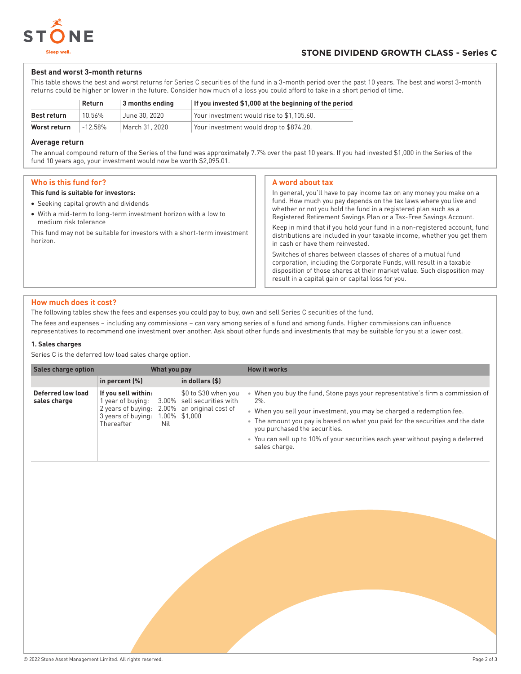

### **Best and worst 3-month returns**

This table shows the best and worst returns for Series C securities of the fund in a 3-month period over the past 10 years. The best and worst 3-month returns could be higher or lower in the future. Consider how much of a loss you could afford to take in a short period of time.

|                    | Return     | 3 months ending | If you invested \$1,000 at the beginning of the period |
|--------------------|------------|-----------------|--------------------------------------------------------|
| <b>Best return</b> | 10.56%     | June 30, 2020   | Your investment would rise to \$1.105.60.              |
| Worst return       | $-12.58\%$ | March 31, 2020  | Your investment would drop to \$874.20.                |

#### **Average return**

The annual compound return of the Series of the fund was approximately 7.7% over the past 10 years. If you had invested \$1,000 in the Series of the fund 10 years ago, your investment would now be worth \$2,095.01.

# **Who is this fund for?**

#### **This fund is suitable for investors:**

- Seeking capital growth and dividends
- With a mid-term to long-term investment horizon with a low to medium risk tolerance

This fund may not be suitable for investors with a short-term investment horizon.

#### **A word about tax**

In general, you'll have to pay income tax on any money you make on a fund. How much you pay depends on the tax laws where you live and whether or not you hold the fund in a registered plan such as a Registered Retirement Savings Plan or a Tax-Free Savings Account. Keep in mind that if you hold your fund in a non-registered account, fund distributions are included in your taxable income, whether you get them in cash or have them reinvested.

Switches of shares between classes of shares of a mutual fund corporation, including the Corporate Funds, will result in a taxable disposition of those shares at their market value. Such disposition may result in a capital gain or capital loss for you.

## **How much does it cost?**

The following tables show the fees and expenses you could pay to buy, own and sell Series C securities of the fund.

The fees and expenses – including any commissions – can vary among series of a fund and among funds. Higher commissions can influence representatives to recommend one investment over another. Ask about other funds and investments that may be suitable for you at a lower cost.

### **1. Sales charges**

Series C is the deferred low load sales charge option.

| <b>Sales charge option</b>        | What you pay                                                                                                        |                                                                                                   | <b>How it works</b>                                                                                                                                                                                                                                                                                                                                                               |
|-----------------------------------|---------------------------------------------------------------------------------------------------------------------|---------------------------------------------------------------------------------------------------|-----------------------------------------------------------------------------------------------------------------------------------------------------------------------------------------------------------------------------------------------------------------------------------------------------------------------------------------------------------------------------------|
|                                   | in percent $(\%)$                                                                                                   | in dollars $($ \$)                                                                                |                                                                                                                                                                                                                                                                                                                                                                                   |
| Deferred low load<br>sales charge | If you sell within:<br>year of buying:<br>2 years of buying:<br>$2.00\%$<br>3 years of buying:<br>Thereafter<br>Nil | \$0 to \$30 when you<br>3.00%   sell securities with<br>an original cost of<br>$1.00\%$   \$1,000 | When you buy the fund, Stone pays your representative's firm a commission of<br>$2\%$ .<br>When you sell your investment, you may be charged a redemption fee.<br>The amount you pay is based on what you paid for the securities and the date<br>you purchased the securities.<br>You can sell up to 10% of your securities each year without paying a deferred<br>sales charge. |